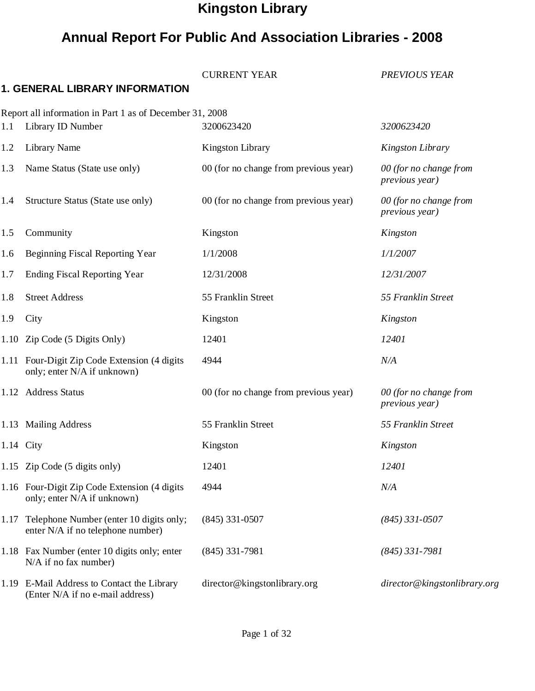# Kingston Library

# Annual Report For Public And Association Libraries - 2008

|      |                                                                                | <b>CURRENT YEAR</b>                   | <b>PREVIOUS YEAR</b>                             |
|------|--------------------------------------------------------------------------------|---------------------------------------|--------------------------------------------------|
|      | <b>1. GENERAL LIBRARY INFORMATION</b>                                          |                                       |                                                  |
| 1.1  | Report all information in Part 1 as of December 31, 2008<br>Library ID Number  | 3200623420                            | 3200623420                                       |
|      |                                                                                |                                       |                                                  |
| 1.2  | <b>Library Name</b>                                                            | <b>Kingston Library</b>               | Kingston Library                                 |
| 1.3  | Name Status (State use only)                                                   | 00 (for no change from previous year) | 00 (for no change from<br>previous year)         |
| 1.4  | Structure Status (State use only)                                              | 00 (for no change from previous year) | 00 (for no change from<br><i>previous year</i> ) |
| 1.5  | Community                                                                      | Kingston                              | Kingston                                         |
| 1.6  | <b>Beginning Fiscal Reporting Year</b>                                         | 1/1/2008                              | 1/1/2007                                         |
| 1.7  | <b>Ending Fiscal Reporting Year</b>                                            | 12/31/2008                            | 12/31/2007                                       |
| 1.8  | <b>Street Address</b>                                                          | 55 Franklin Street                    | 55 Franklin Street                               |
| 1.9  | City                                                                           | Kingston                              | Kingston                                         |
|      | 1.10 Zip Code (5 Digits Only)                                                  | 12401                                 | 12401                                            |
|      | 1.11 Four-Digit Zip Code Extension (4 digits<br>only; enter N/A if unknown)    | 4944                                  | N/A                                              |
|      | 1.12 Address Status                                                            | 00 (for no change from previous year) | 00 (for no change from<br>previous year)         |
|      | 1.13 Mailing Address                                                           | 55 Franklin Street                    | 55 Franklin Street                               |
|      | 1.14 City                                                                      | Kingston                              | Kingston                                         |
|      | 1.15 Zip Code (5 digits only)                                                  | 12401                                 | 12401                                            |
|      | 1.16 Four-Digit Zip Code Extension (4 digits<br>only; enter N/A if unknown)    | 4944                                  | N/A                                              |
| 1.17 | Telephone Number (enter 10 digits only;<br>enter N/A if no telephone number)   | $(845)$ 331-0507                      | $(845)$ 331-0507                                 |
|      | 1.18 Fax Number (enter 10 digits only; enter<br>N/A if no fax number)          | $(845)$ 331-7981                      | $(845)$ 331-7981                                 |
|      | 1.19 E-Mail Address to Contact the Library<br>(Enter N/A if no e-mail address) | director@kingstonlibrary.org          | director@kingstonlibrary.org                     |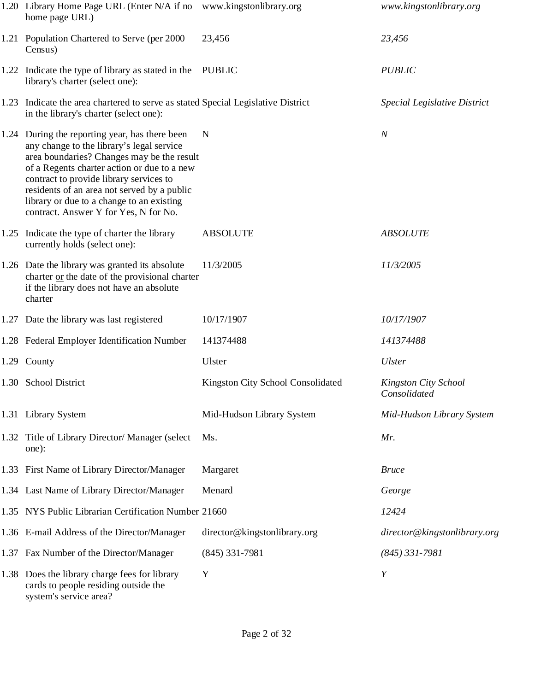| 1.20 Library Home Page URL (Enter N/A if no www.kingstonlibrary.org)<br>home page URL)                                                                                                                                                                                                                                                                                   |                                   | www.kingstonlibrary.org                     |
|--------------------------------------------------------------------------------------------------------------------------------------------------------------------------------------------------------------------------------------------------------------------------------------------------------------------------------------------------------------------------|-----------------------------------|---------------------------------------------|
| 1.21 Population Chartered to Serve (per 2000)<br>Census)                                                                                                                                                                                                                                                                                                                 | 23,456                            | 23,456                                      |
| 1.22 Indicate the type of library as stated in the<br>library's charter (select one):                                                                                                                                                                                                                                                                                    | <b>PUBLIC</b>                     | <b>PUBLIC</b>                               |
| 1.23 Indicate the area chartered to serve as stated Special Legislative District<br>in the library's charter (select one):                                                                                                                                                                                                                                               |                                   | Special Legislative District                |
| 1.24 During the reporting year, has there been<br>any change to the library's legal service<br>area boundaries? Changes may be the result<br>of a Regents charter action or due to a new<br>contract to provide library services to<br>residents of an area not served by a public<br>library or due to a change to an existing<br>contract. Answer Y for Yes, N for No. | N                                 | $\boldsymbol{N}$                            |
| 1.25 Indicate the type of charter the library<br>currently holds (select one):                                                                                                                                                                                                                                                                                           | <b>ABSOLUTE</b>                   | <b>ABSOLUTE</b>                             |
| 1.26 Date the library was granted its absolute<br>charter or the date of the provisional charter<br>if the library does not have an absolute<br>charter                                                                                                                                                                                                                  | 11/3/2005                         | 11/3/2005                                   |
| 1.27 Date the library was last registered                                                                                                                                                                                                                                                                                                                                | 10/17/1907                        | 10/17/1907                                  |
| 1.28 Federal Employer Identification Number                                                                                                                                                                                                                                                                                                                              | 141374488                         | 141374488                                   |
| 1.29 County                                                                                                                                                                                                                                                                                                                                                              | <b>Ulster</b>                     | <i>Ulster</i>                               |
| 1.30 School District                                                                                                                                                                                                                                                                                                                                                     | Kingston City School Consolidated | <b>Kingston City School</b><br>Consolidated |
| 1.31 Library System                                                                                                                                                                                                                                                                                                                                                      | Mid-Hudson Library System         | Mid-Hudson Library System                   |
| 1.32 Title of Library Director/Manager (select<br>one):                                                                                                                                                                                                                                                                                                                  | Ms.                               | Mr.                                         |
| 1.33 First Name of Library Director/Manager                                                                                                                                                                                                                                                                                                                              | Margaret                          | <i>Bruce</i>                                |
| 1.34 Last Name of Library Director/Manager                                                                                                                                                                                                                                                                                                                               | Menard                            | George                                      |
| 1.35 NYS Public Librarian Certification Number 21660                                                                                                                                                                                                                                                                                                                     |                                   | 12424                                       |
| 1.36 E-mail Address of the Director/Manager                                                                                                                                                                                                                                                                                                                              | director@kingstonlibrary.org      | director@kingstonlibrary.org                |
| 1.37 Fax Number of the Director/Manager                                                                                                                                                                                                                                                                                                                                  | $(845)$ 331-7981                  | $(845)$ 331-7981                            |
| 1.38 Does the library charge fees for library<br>cards to people residing outside the<br>system's service area?                                                                                                                                                                                                                                                          | Y                                 | Y                                           |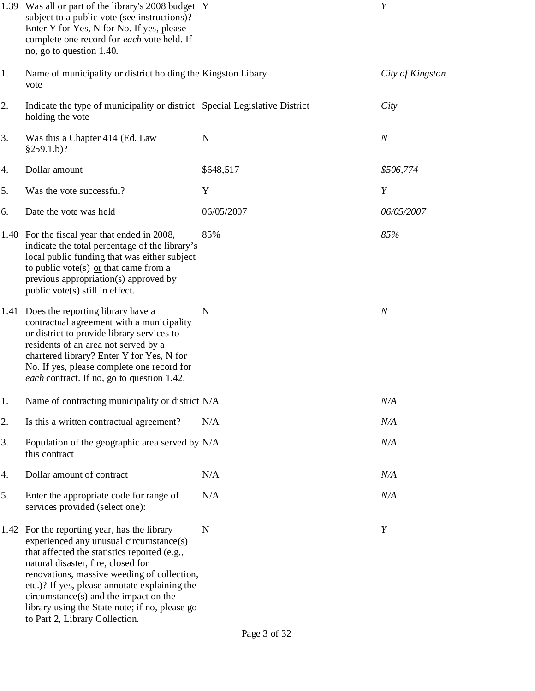|    | 1.39 Was all or part of the library's 2008 budget Y<br>subject to a public vote (see instructions)?<br>Enter Y for Yes, N for No. If yes, please<br>complete one record for each vote held. If<br>no, go to question 1.40.                                                                                                                                                                                        |            | Y                |
|----|-------------------------------------------------------------------------------------------------------------------------------------------------------------------------------------------------------------------------------------------------------------------------------------------------------------------------------------------------------------------------------------------------------------------|------------|------------------|
| 1. | Name of municipality or district holding the Kingston Libary<br>vote                                                                                                                                                                                                                                                                                                                                              |            | City of Kingston |
| 2. | Indicate the type of municipality or district Special Legislative District<br>holding the vote                                                                                                                                                                                                                                                                                                                    |            | City             |
| 3. | Was this a Chapter 414 (Ed. Law<br>$§259.1.b$ ?                                                                                                                                                                                                                                                                                                                                                                   | N          | $\boldsymbol{N}$ |
| 4. | Dollar amount                                                                                                                                                                                                                                                                                                                                                                                                     | \$648,517  | \$506,774        |
| 5. | Was the vote successful?                                                                                                                                                                                                                                                                                                                                                                                          | Y          | Y                |
| 6. | Date the vote was held                                                                                                                                                                                                                                                                                                                                                                                            | 06/05/2007 | 06/05/2007       |
|    | 1.40 For the fiscal year that ended in 2008,<br>indicate the total percentage of the library's<br>local public funding that was either subject<br>to public vote(s) $or that came from a$<br>previous appropriation(s) approved by<br>public vote(s) still in effect.                                                                                                                                             | 85%        | 85%              |
|    | 1.41 Does the reporting library have a<br>contractual agreement with a municipality<br>or district to provide library services to<br>residents of an area not served by a<br>chartered library? Enter Y for Yes, N for<br>No. If yes, please complete one record for<br>each contract. If no, go to question 1.42.                                                                                                | N          | $\boldsymbol{N}$ |
| 1. | Name of contracting municipality or district N/A                                                                                                                                                                                                                                                                                                                                                                  |            | N/A              |
| 2. | Is this a written contractual agreement?                                                                                                                                                                                                                                                                                                                                                                          | N/A        | N/A              |
| 3. | Population of the geographic area served by N/A<br>this contract                                                                                                                                                                                                                                                                                                                                                  |            | N/A              |
| 4. | Dollar amount of contract                                                                                                                                                                                                                                                                                                                                                                                         | N/A        | N/A              |
| 5. | Enter the appropriate code for range of<br>services provided (select one):                                                                                                                                                                                                                                                                                                                                        | N/A        | N/A              |
|    | 1.42 For the reporting year, has the library<br>experienced any unusual circumstance(s)<br>that affected the statistics reported (e.g.,<br>natural disaster, fire, closed for<br>renovations, massive weeding of collection,<br>etc.)? If yes, please annotate explaining the<br>circumstance(s) and the impact on the<br>library using the <b>State</b> note; if no, please go<br>to Part 2, Library Collection. | N          | Y                |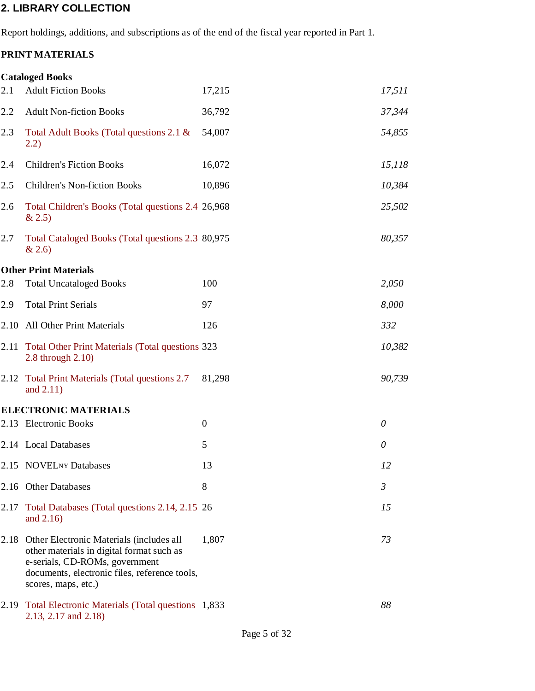### 2. LIBRARY COLLECTION

Report holdings, additions, and subscriptions as of the end of the fiscal year reported in Part 1.

## PRINT MATERIALS

|      | <b>Cataloged Books</b>                                                                                                                                                                          |              |                |
|------|-------------------------------------------------------------------------------------------------------------------------------------------------------------------------------------------------|--------------|----------------|
| 2.1  | <b>Adult Fiction Books</b>                                                                                                                                                                      | 17,215       | 17,511         |
| 2.2  | <b>Adult Non-fiction Books</b>                                                                                                                                                                  | 36,792       | 37,344         |
| 2.3  | Total Adult Books (Total questions 2.1 &<br>2.2)                                                                                                                                                | 54,007       | 54,855         |
| 2.4  | <b>Children's Fiction Books</b>                                                                                                                                                                 | 16,072       | 15,118         |
| 2.5  | <b>Children's Non-fiction Books</b>                                                                                                                                                             | 10,896       | 10,384         |
| 2.6  | Total Children's Books (Total questions 2.4 26,968)<br>& 2.5)                                                                                                                                   |              | 25,502         |
| 2.7  | Total Cataloged Books (Total questions 2.3 80,975<br>& 2.6)                                                                                                                                     |              | 80,357         |
|      | <b>Other Print Materials</b>                                                                                                                                                                    |              |                |
| 2.8  | <b>Total Uncataloged Books</b>                                                                                                                                                                  | 100          | 2,050          |
| 2.9  | <b>Total Print Serials</b>                                                                                                                                                                      | 97           | 8,000          |
| 2.10 | <b>All Other Print Materials</b>                                                                                                                                                                | 126          | 332            |
| 2.11 | <b>Total Other Print Materials (Total questions 323)</b><br>2.8 through 2.10)                                                                                                                   |              | 10,382         |
|      | 2.12 Total Print Materials (Total questions 2.7)<br>and $2.11$ )                                                                                                                                | 81,298       | 90,739         |
|      | <b>ELECTRONIC MATERIALS</b>                                                                                                                                                                     |              |                |
|      | 2.13 Electronic Books                                                                                                                                                                           | $\mathbf{0}$ | 0              |
|      | 2.14 Local Databases                                                                                                                                                                            | 5            | 0              |
|      | 2.15 NOVELNY Databases                                                                                                                                                                          | 13           | 12             |
|      | 2.16 Other Databases                                                                                                                                                                            | 8            | $\mathfrak{Z}$ |
| 2.17 | Total Databases (Total questions 2.14, 2.15 26)<br>and $2.16$ )                                                                                                                                 |              | 15             |
| 2.18 | Other Electronic Materials (includes all<br>other materials in digital format such as<br>e-serials, CD-ROMs, government<br>documents, electronic files, reference tools,<br>scores, maps, etc.) | 1,807        | 73             |
| 2.19 | Total Electronic Materials (Total questions 1,833<br>2.13, 2.17 and 2.18)                                                                                                                       |              | 88             |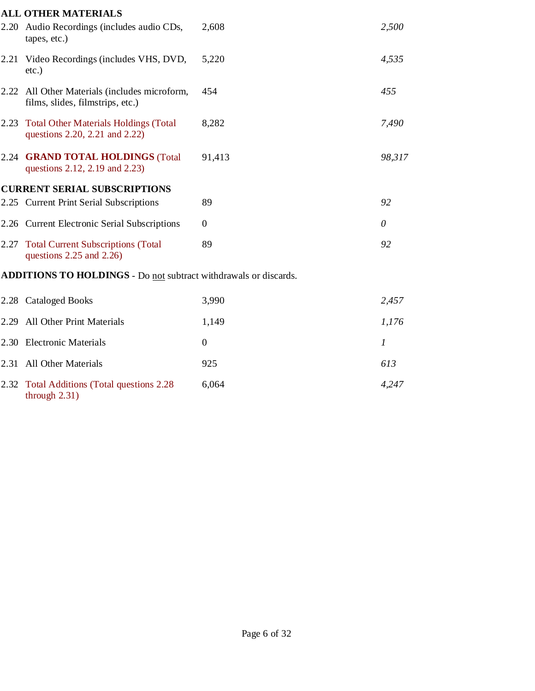|      | <b>ALL OTHER MATERIALS</b>                                                        |                  |        |
|------|-----------------------------------------------------------------------------------|------------------|--------|
| 2.20 | Audio Recordings (includes audio CDs,<br>tapes, etc.)                             | 2,608            | 2,500  |
|      | 2.21 Video Recordings (includes VHS, DVD,<br>$etc.$ )                             | 5,220            | 4,535  |
|      | 2.22 All Other Materials (includes microform,<br>films, slides, filmstrips, etc.) | 454              | 455    |
| 2.23 | <b>Total Other Materials Holdings (Total</b><br>questions 2.20, 2.21 and 2.22)    | 8,282            | 7,490  |
|      | 2.24 GRAND TOTAL HOLDINGS (Total<br>questions 2.12, 2.19 and 2.23)                | 91,413           | 98,317 |
|      | <b>CURRENT SERIAL SUBSCRIPTIONS</b>                                               |                  |        |
|      | 2.25 Current Print Serial Subscriptions                                           | 89               | 92     |
|      | 2.26 Current Electronic Serial Subscriptions                                      | $\Omega$         | 0      |
| 2.27 | <b>Total Current Subscriptions (Total</b><br>questions $2.25$ and $2.26$ )        | 89               | 92     |
|      | ADDITIONS TO HOLDINGS - Do not subtract withdrawals or discards.                  |                  |        |
|      | 2.28 Cataloged Books                                                              | 3,990            | 2,457  |
| 2.29 | <b>All Other Print Materials</b>                                                  | 1,149            | 1,176  |
|      | 2.30 Electronic Materials                                                         | $\boldsymbol{0}$ | 1      |

2.31 All Other Materials 925 613 2.32 Total Additions (Total questions 2.28 6,064 4,247 through 2.31)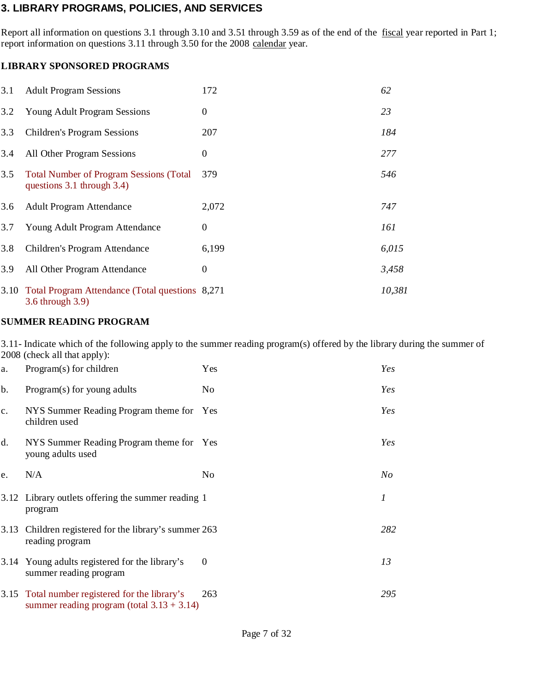### 3. LIBRARY PROGRAMS, POLICIES, AND SERVICES

Report all information on questions 3.1 through 3.10 and 3.51 through 3.59 as of the end of the fiscal year reported in Part 1; report information on questions 3.11 through 3.50 for the 2008 calendar year.

#### LIBRARY SPONSORED PROGRAMS

| 3.1  | <b>Adult Program Sessions</b>                                                | 172              | 62     |
|------|------------------------------------------------------------------------------|------------------|--------|
| 3.2  | <b>Young Adult Program Sessions</b>                                          | $\boldsymbol{0}$ | 23     |
| 3.3  | <b>Children's Program Sessions</b>                                           | 207              | 184    |
| 3.4  | All Other Program Sessions                                                   | $\boldsymbol{0}$ | 277    |
| 3.5  | <b>Total Number of Program Sessions (Total</b><br>questions 3.1 through 3.4) | 379              | 546    |
| 3.6  | <b>Adult Program Attendance</b>                                              | 2,072            | 747    |
| 3.7  | Young Adult Program Attendance                                               | $\boldsymbol{0}$ | 161    |
| 3.8  | Children's Program Attendance                                                | 6,199            | 6,015  |
| 3.9  | All Other Program Attendance                                                 | $\overline{0}$   | 3,458  |
| 3.10 | Total Program Attendance (Total questions 8,271)<br>3.6 through 3.9)         |                  | 10,381 |

#### SUMMER READING PROGRAM

3.11- Indicate which of the following apply to the summer reading program(s) offered by the library during the summer of 2008 (check all that apply):

| a.   | Program(s) for children                                                                         | Yes            | Yes     |
|------|-------------------------------------------------------------------------------------------------|----------------|---------|
| b.   | Program(s) for young adults                                                                     | N <sub>o</sub> | Yes     |
| c.   | NYS Summer Reading Program theme for Yes<br>children used                                       |                | Yes     |
| d.   | NYS Summer Reading Program theme for Yes<br>young adults used                                   |                | Yes     |
| e.   | N/A                                                                                             | N <sub>o</sub> | $N_{O}$ |
|      | 3.12 Library outlets offering the summer reading 1<br>program                                   |                | 1       |
| 3.13 | Children registered for the library's summer 263<br>reading program                             |                | 282     |
| 3.14 | Young adults registered for the library's<br>summer reading program                             | $\mathbf{0}$   | 13      |
|      | 3.15 Total number registered for the library's<br>summer reading program (total $3.13 + 3.14$ ) | 263            | 295     |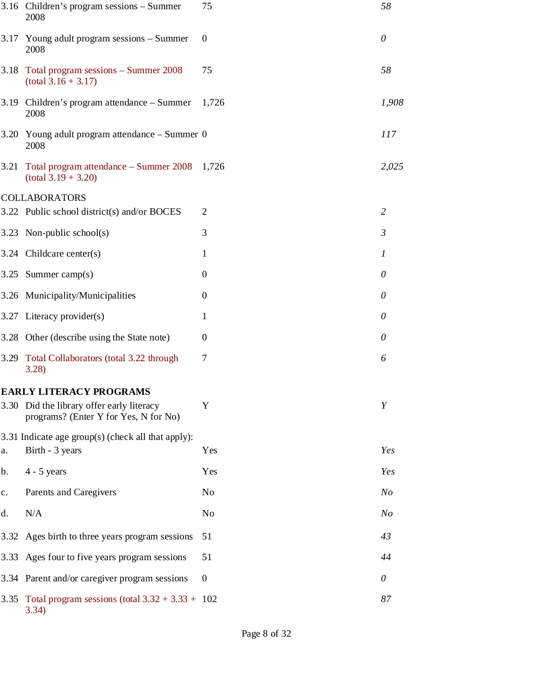|      | 3.16 Children's program sessions – Summer<br>2008                                  | 75               | 58             |
|------|------------------------------------------------------------------------------------|------------------|----------------|
| 3.17 | Young adult program sessions - Summer<br>2008                                      | $\overline{0}$   | $\theta$       |
| 3.18 | Total program sessions - Summer 2008<br>$(total 3.16 + 3.17)$                      | 75               | 58             |
| 3.19 | Children's program attendance - Summer<br>2008                                     | 1,726            | 1,908          |
| 3.20 | Young adult program attendance - Summer 0<br>2008                                  |                  | 117            |
| 3.21 | Total program attendance - Summer 2008<br>$(total 3.19 + 3.20)$                    | 1,726            | 2,025          |
|      | <b>COLLABORATORS</b>                                                               |                  |                |
|      | 3.22 Public school district(s) and/or BOCES                                        | $\overline{2}$   | 2              |
|      | 3.23 Non-public school(s)                                                          | 3                | $\mathfrak{Z}$ |
|      | 3.24 Childcare center(s)                                                           | 1                | 1              |
|      | 3.25 Summer camp $(s)$                                                             | $\overline{0}$   | 0              |
|      | 3.26 Municipality/Municipalities                                                   | $\overline{0}$   | 0              |
|      | 3.27 Literacy provider(s)                                                          | 1                | 0              |
|      | 3.28 Other (describe using the State note)                                         | $\theta$         | 0              |
|      | 3.29 Total Collaborators (total 3.22 through<br>3.28                               | 7                | 6              |
|      | <b>EARLY LITERACY PROGRAMS</b>                                                     |                  |                |
|      | 3.30 Did the library offer early literacy<br>programs? (Enter Y for Yes, N for No) | Y                | Y              |
|      | 3.31 Indicate age group(s) (check all that apply):                                 |                  |                |
| a.   | Birth - 3 years                                                                    | Yes              | Yes            |
| b.   | $4 - 5$ years                                                                      | Yes              | Yes            |
| c.   | Parents and Caregivers                                                             | No               | N <sub>O</sub> |
| d.   | N/A                                                                                | No               | N <sub>O</sub> |
|      | 3.32 Ages birth to three years program sessions                                    | 51               | 43             |
|      | 3.33 Ages four to five years program sessions                                      | 51               | 44             |
|      | 3.34 Parent and/or caregiver program sessions                                      | $\boldsymbol{0}$ | 0              |
| 3.35 | Total program sessions (total $3.32 + 3.33 + 102$<br>3.34)                         |                  | 87             |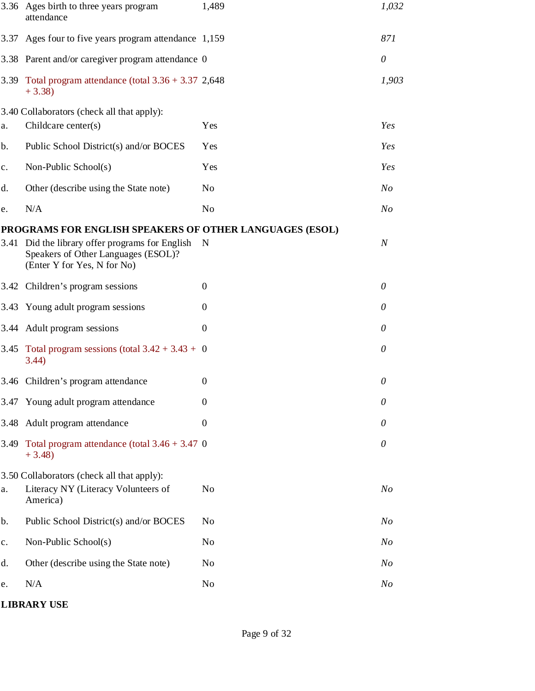|                | 3.36 Ages birth to three years program<br>attendance                                                                  | 1,489            | 1,032            |
|----------------|-----------------------------------------------------------------------------------------------------------------------|------------------|------------------|
| 3.37           | Ages four to five years program attendance 1,159                                                                      |                  | 871              |
|                | 3.38 Parent and/or caregiver program attendance 0                                                                     |                  | 0                |
| 3.39           | Total program attendance (total $3.36 + 3.37$ 2,648<br>$+3.38$                                                        |                  | 1,903            |
| a.             | 3.40 Collaborators (check all that apply):<br>Childcare center(s)                                                     | Yes              | Yes              |
| b.             | Public School District(s) and/or BOCES                                                                                | Yes              | Yes              |
| $\mathbf{c}$ . | Non-Public School(s)                                                                                                  | Yes              | Yes              |
| d.             | Other (describe using the State note)                                                                                 | N <sub>0</sub>   | N <sub>O</sub>   |
| e.             | N/A                                                                                                                   | N <sub>o</sub>   | N <sub>O</sub>   |
|                | PROGRAMS FOR ENGLISH SPEAKERS OF OTHER LANGUAGES (ESOL)                                                               |                  |                  |
|                | 3.41 Did the library offer programs for English<br>Speakers of Other Languages (ESOL)?<br>(Enter Y for Yes, N for No) | N                | $\boldsymbol{N}$ |
|                | 3.42 Children's program sessions                                                                                      | $\theta$         | 0                |
| 3.43           | Young adult program sessions                                                                                          | $\theta$         | 0                |
|                | 3.44 Adult program sessions                                                                                           | $\mathbf{0}$     | 0                |
| 3.45           | Total program sessions (total $3.42 + 3.43 + 0$<br>3.44)                                                              |                  | 0                |
|                | 3.46 Children's program attendance                                                                                    | $\boldsymbol{0}$ | $\theta$         |
| 3.47           | Young adult program attendance                                                                                        | $\Omega$         | 0                |
| 3.48           | Adult program attendance                                                                                              | $\mathbf{0}$     | 0                |
| 3.49           | Total program attendance (total $3.46 + 3.47$ 0<br>$+3.48$                                                            |                  | $\theta$         |
| a.             | 3.50 Collaborators (check all that apply):<br>Literacy NY (Literacy Volunteers of<br>America)                         | N <sub>o</sub>   | N <sub>o</sub>   |
| b.             | Public School District(s) and/or BOCES                                                                                | N <sub>o</sub>   | N <sub>O</sub>   |
| c.             | Non-Public School(s)                                                                                                  | N <sub>o</sub>   | N <sub>O</sub>   |
| d.             | Other (describe using the State note)                                                                                 | N <sub>0</sub>   | N <sub>O</sub>   |
| e.             | N/A                                                                                                                   | N <sub>0</sub>   | N <sub>o</sub>   |
|                |                                                                                                                       |                  |                  |

### LIBRARY USE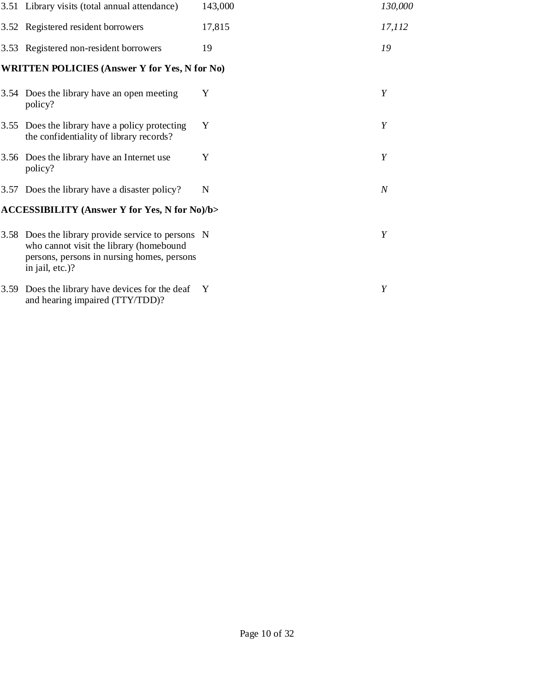|      | 3.51 Library visits (total annual attendance)                                                                                                                  | 143,000      | 130,000          |
|------|----------------------------------------------------------------------------------------------------------------------------------------------------------------|--------------|------------------|
|      | 3.52 Registered resident borrowers                                                                                                                             | 17,815       | 17,112           |
|      | 3.53 Registered non-resident borrowers                                                                                                                         | 19           | 19               |
|      | <b>WRITTEN POLICIES (Answer Y for Yes, N for No)</b>                                                                                                           |              |                  |
|      | 3.54 Does the library have an open meeting<br>policy?                                                                                                          | Y            | Y                |
| 3.55 | Does the library have a policy protecting<br>the confidentiality of library records?                                                                           | Y            | Y                |
|      | 3.56 Does the library have an Internet use<br>policy?                                                                                                          | Y            | Y                |
|      | 3.57 Does the library have a disaster policy?                                                                                                                  | N            | $\boldsymbol{N}$ |
|      | <b>ACCESSIBILITY (Answer Y for Yes, N for No)/b&gt;</b>                                                                                                        |              |                  |
|      | 3.58 Does the library provide service to persons N<br>who cannot visit the library (homebound<br>persons, persons in nursing homes, persons<br>in jail, etc.)? |              | Y                |
| 3.59 | Does the library have devices for the deaf<br>and hearing impaired (TTY/TDD)?                                                                                  | $\mathbf{Y}$ | Y                |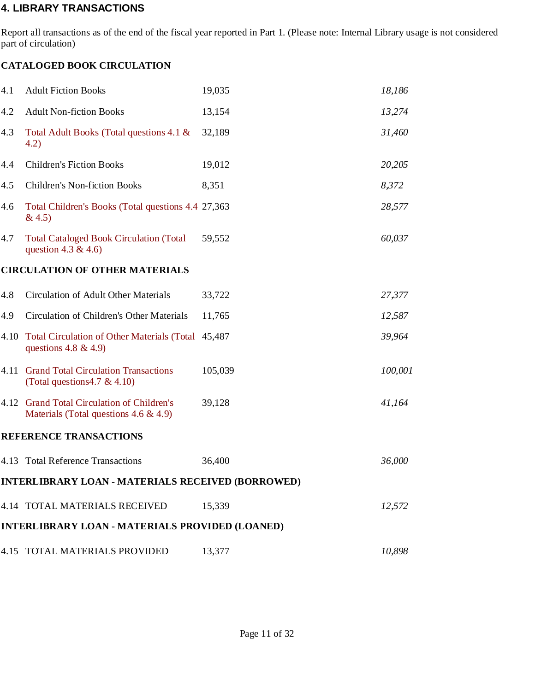#### 4. LIBRARY TRANSACTIONS

Report all transactions as of the end of the fiscal year reported in Part 1. (Please note: Internal Library usage is not considered part of circulation)

#### CATALOGED BOOK CIRCULATION

| 4.1  | <b>Adult Fiction Books</b>                                                              | 19,035  | 18,186  |
|------|-----------------------------------------------------------------------------------------|---------|---------|
| 4.2  | <b>Adult Non-fiction Books</b>                                                          | 13,154  | 13,274  |
| 4.3  | Total Adult Books (Total questions 4.1 &<br>4.2)                                        | 32,189  | 31,460  |
| 4.4  | <b>Children's Fiction Books</b>                                                         | 19,012  | 20,205  |
| 4.5  | <b>Children's Non-fiction Books</b>                                                     | 8,351   | 8,372   |
| 4.6  | Total Children's Books (Total questions 4.4 27,363)<br>& 4.5)                           |         | 28,577  |
| 4.7  | <b>Total Cataloged Book Circulation (Total</b><br>question 4.3 & 4.6)                   | 59,552  | 60,037  |
|      | <b>CIRCULATION OF OTHER MATERIALS</b>                                                   |         |         |
| 4.8  | <b>Circulation of Adult Other Materials</b>                                             | 33,722  | 27,377  |
| 4.9  | Circulation of Children's Other Materials                                               | 11,765  | 12,587  |
| 4.10 | <b>Total Circulation of Other Materials (Total</b><br>questions 4.8 & 4.9)              | 45,487  | 39,964  |
| 4.11 | <b>Grand Total Circulation Transactions</b><br>(Total questions 4.7 & 4.10)             | 105,039 | 100,001 |
|      | 4.12 Grand Total Circulation of Children's<br>Materials (Total questions $4.6 \& 4.9$ ) | 39,128  | 41,164  |
|      | REFERENCE TRANSACTIONS                                                                  |         |         |
|      | 4.13 Total Reference Transactions                                                       | 36,400  | 36,000  |
|      | <b>INTERLIBRARY LOAN - MATERIALS RECEIVED (BORROWED)</b>                                |         |         |
|      | 4.14 TOTAL MATERIALS RECEIVED                                                           | 15,339  | 12,572  |
|      | <b>INTERLIBRARY LOAN - MATERIALS PROVIDED (LOANED)</b>                                  |         |         |
|      | 4.15 TOTAL MATERIALS PROVIDED                                                           | 13,377  | 10,898  |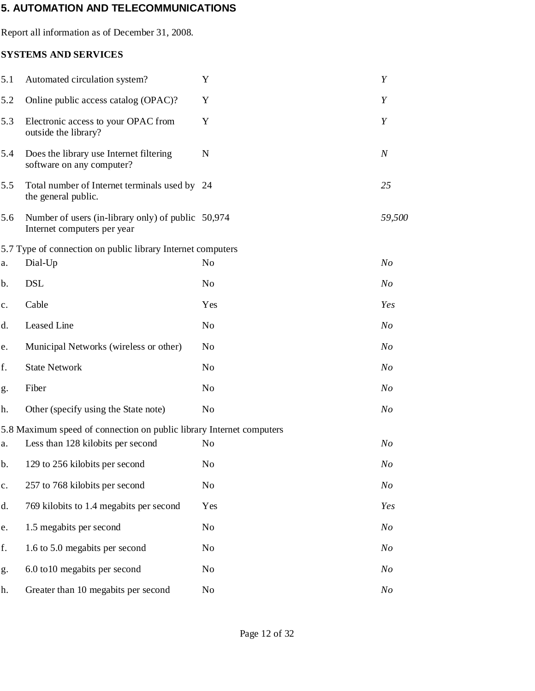# 5. AUTOMATION AND TELECOMMUNICATIONS

Report all information as of December 31, 2008.

## SYSTEMS AND SERVICES

| 5.1 | Automated circulation system?                                                     | Y              | Y                |
|-----|-----------------------------------------------------------------------------------|----------------|------------------|
| 5.2 | Online public access catalog (OPAC)?                                              | Y              | Y                |
| 5.3 | Electronic access to your OPAC from<br>outside the library?                       | Y              | Y                |
| 5.4 | Does the library use Internet filtering<br>software on any computer?              | $\mathbf N$    | $\boldsymbol{N}$ |
| 5.5 | Total number of Internet terminals used by 24<br>the general public.              |                | 25               |
| 5.6 | Number of users (in-library only) of public 50,974<br>Internet computers per year |                | 59,500           |
|     | 5.7 Type of connection on public library Internet computers                       |                |                  |
| a.  | Dial-Up                                                                           | N <sub>0</sub> | N <sub>O</sub>   |
| b.  | <b>DSL</b>                                                                        | N <sub>0</sub> | N <sub>O</sub>   |
| c.  | Cable                                                                             | Yes            | Yes              |
| d.  | Leased Line                                                                       | N <sub>0</sub> | N <sub>O</sub>   |
| e.  | Municipal Networks (wireless or other)                                            | No             | N <sub>O</sub>   |
| f.  | <b>State Network</b>                                                              | No             | N <sub>O</sub>   |
| g.  | Fiber                                                                             | N <sub>0</sub> | N <sub>O</sub>   |
| h.  | Other (specify using the State note)                                              | N <sub>0</sub> | N <sub>o</sub>   |
|     | 5.8 Maximum speed of connection on public library Internet computers              |                |                  |
| a.  | Less than 128 kilobits per second                                                 | N <sub>0</sub> | N <sub>O</sub>   |
| b.  | 129 to 256 kilobits per second                                                    | No             | N <sub>O</sub>   |
| c.  | 257 to 768 kilobits per second                                                    | No             | N <sub>O</sub>   |
| d.  | 769 kilobits to 1.4 megabits per second                                           | Yes            | Yes              |
| e.  | 1.5 megabits per second                                                           | No             | N <sub>O</sub>   |
| f.  | 1.6 to 5.0 megabits per second                                                    | N <sub>o</sub> | N <sub>O</sub>   |
| g.  | 6.0 to 10 megabits per second                                                     | No             | N <sub>O</sub>   |
| h.  | Greater than 10 megabits per second                                               | No             | N <sub>O</sub>   |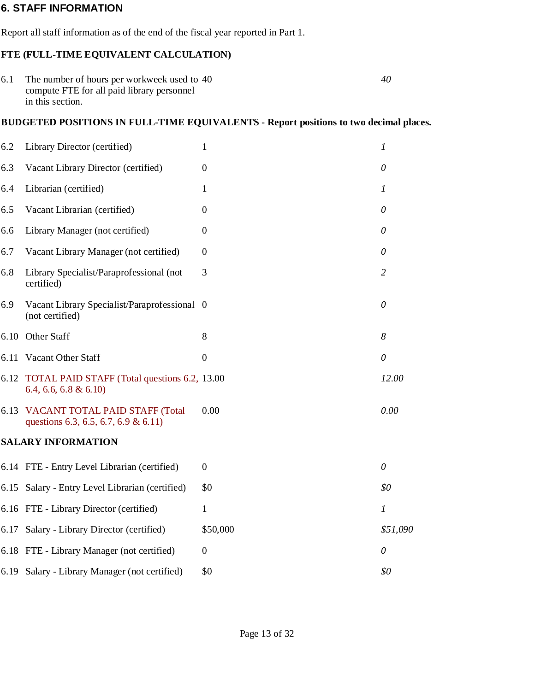#### 6. STAFF INFORMATION

Report all staff information as of the end of the fiscal year reported in Part 1.

#### FTE (FULL-TIME EQUIVALENT CALCULATION)

| 6.1 The number of hours per workweek used to 40 | 40 |
|-------------------------------------------------|----|
| compute FTE for all paid library personnel      |    |
| in this section.                                |    |

#### BUDGETED POSITIONS IN FULL-TIME EQUIVALENTS - Report positions to two decimal places.

| 6.2 | Library Director (certified)                                                  | $\mathbf{1}$     | $\boldsymbol{l}$ |
|-----|-------------------------------------------------------------------------------|------------------|------------------|
| 6.3 | Vacant Library Director (certified)                                           | $\mathbf{0}$     | 0                |
| 6.4 | Librarian (certified)                                                         | 1                | $\boldsymbol{l}$ |
| 6.5 | Vacant Librarian (certified)                                                  | 0                | $\theta$         |
| 6.6 | Library Manager (not certified)                                               | $\boldsymbol{0}$ | 0                |
| 6.7 | Vacant Library Manager (not certified)                                        | $\Omega$         | $\theta$         |
| 6.8 | Library Specialist/Paraprofessional (not<br>certified)                        | 3                | $\overline{2}$   |
| 6.9 | Vacant Library Specialist/Paraprofessional 0<br>(not certified)               |                  | $\theta$         |
|     | 6.10 Other Staff                                                              | 8                | 8                |
|     | 6.11 Vacant Other Staff                                                       | $\mathbf{0}$     | $\theta$         |
|     | 6.12 TOTAL PAID STAFF (Total questions 6.2, 13.00)<br>$6.4, 6.6, 6.8 \& 6.10$ |                  | 12.00            |
|     | 6.13 VACANT TOTAL PAID STAFF (Total<br>questions 6.3, 6.5, 6.7, 6.9 & 6.11)   | 0.00             | 0.00             |
|     | <b>SALARY INFORMATION</b>                                                     |                  |                  |
|     | 6.14 FTE - Entry Level Librarian (certified)                                  | $\overline{0}$   | $\theta$         |
|     | 6.15 Salary - Entry Level Librarian (certified)                               | \$0              | \$0              |
|     | 6.16 FTE - Library Director (certified)                                       | 1                | $\mathfrak{1}$   |
|     | 6.17 Salary - Library Director (certified)                                    | \$50,000         | \$51,090         |
|     | 6.18 FTE - Library Manager (not certified)                                    | $\Omega$         | $\theta$         |
|     | 6.19 Salary - Library Manager (not certified)                                 | \$0              | \$0              |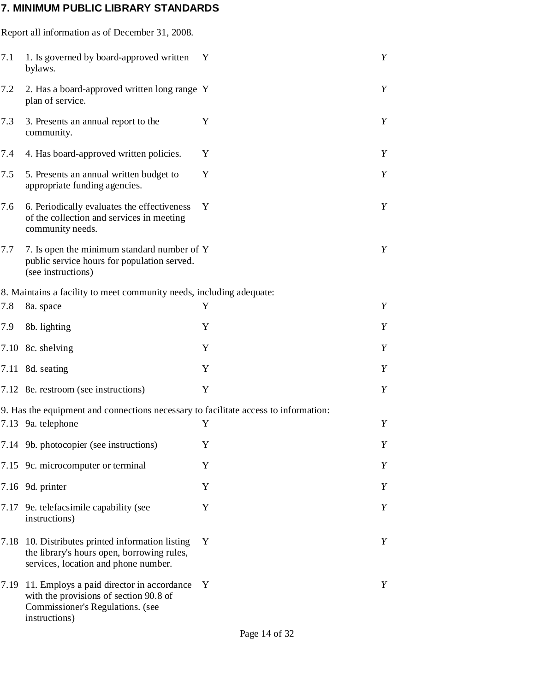# 7. MINIMUM PUBLIC LIBRARY STANDARDS

|      | Report all information as of December 31, 2008.                                                                                          |   |   |
|------|------------------------------------------------------------------------------------------------------------------------------------------|---|---|
| 7.1  | 1. Is governed by board-approved written<br>bylaws.                                                                                      | Y | Y |
| 7.2  | 2. Has a board-approved written long range Y<br>plan of service.                                                                         |   | Y |
| 7.3  | 3. Presents an annual report to the<br>community.                                                                                        | Y | Y |
| 7.4  | 4. Has board-approved written policies.                                                                                                  | Y | Y |
| 7.5  | 5. Presents an annual written budget to<br>appropriate funding agencies.                                                                 | Y | Y |
| 7.6  | 6. Periodically evaluates the effectiveness<br>of the collection and services in meeting<br>community needs.                             | Y | Y |
| 7.7  | 7. Is open the minimum standard number of Y<br>public service hours for population served.<br>(see instructions)                         |   | Y |
|      | 8. Maintains a facility to meet community needs, including adequate:                                                                     |   |   |
| 7.8  | 8a. space                                                                                                                                | Y | Y |
| 7.9  | 8b. lighting                                                                                                                             | Y | Y |
| 7.10 | 8c. shelving                                                                                                                             | Y | Y |
| 7.11 | 8d. seating                                                                                                                              | Y | Y |
|      | 7.12 8e. restroom (see instructions)                                                                                                     | Y | Y |
|      | 9. Has the equipment and connections necessary to facilitate access to information:                                                      |   |   |
|      | 7.13 9a. telephone                                                                                                                       | Y | Y |
| 7.14 | 9b. photocopier (see instructions)                                                                                                       | Y | Y |
| 7.15 | 9c. microcomputer or terminal                                                                                                            | Y | Y |
| 7.16 | 9d. printer                                                                                                                              | Y | Y |
| 7.17 | 9e. telefacsimile capability (see<br>instructions)                                                                                       | Y | Y |
| 7.18 | 10. Distributes printed information listing<br>the library's hours open, borrowing rules,<br>services, location and phone number.        | Y | Y |
| 7.19 | 11. Employs a paid director in accordance<br>with the provisions of section 90.8 of<br>Commissioner's Regulations. (see<br>instructions) | Y | Y |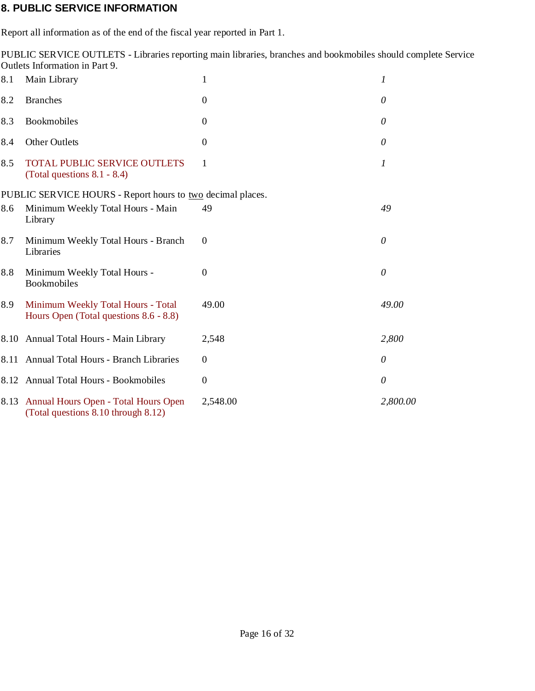#### 8. PUBLIC SERVICE INFORMATION

Report all information as of the end of the fiscal year reported in Part 1.

PUBLIC SERVICE OUTLETS - Libraries reporting main libraries, branches and bookmobiles should complete Service Outlets Information in Part 9.

| 8.1  | Main Library                                                                 | 1                | 1        |
|------|------------------------------------------------------------------------------|------------------|----------|
| 8.2  | <b>Branches</b>                                                              | $\mathbf{0}$     | 0        |
| 8.3  | Bookmobiles                                                                  | $\mathbf{0}$     | 0        |
| 8.4  | <b>Other Outlets</b>                                                         | $\theta$         | 0        |
| 8.5  | <b>TOTAL PUBLIC SERVICE OUTLETS</b><br>(Total questions $8.1 - 8.4$ )        | 1                | 1        |
|      | PUBLIC SERVICE HOURS - Report hours to two decimal places.                   |                  |          |
| 8.6  | Minimum Weekly Total Hours - Main<br>Library                                 | 49               | 49       |
| 8.7  | Minimum Weekly Total Hours - Branch<br>Libraries                             | $\theta$         | $\theta$ |
| 8.8  | Minimum Weekly Total Hours -<br><b>Bookmobiles</b>                           | $\boldsymbol{0}$ | $\theta$ |
| 8.9  | Minimum Weekly Total Hours - Total<br>Hours Open (Total questions 8.6 - 8.8) | 49.00            | 49.00    |
| 8.10 | Annual Total Hours - Main Library                                            | 2,548            | 2,800    |
| 8.11 | Annual Total Hours - Branch Libraries                                        | $\boldsymbol{0}$ | 0        |
|      | 8.12 Annual Total Hours - Bookmobiles                                        | $\boldsymbol{0}$ | 0        |
| 8.13 | Annual Hours Open - Total Hours Open<br>(Total questions 8.10 through 8.12)  | 2,548.00         | 2,800.00 |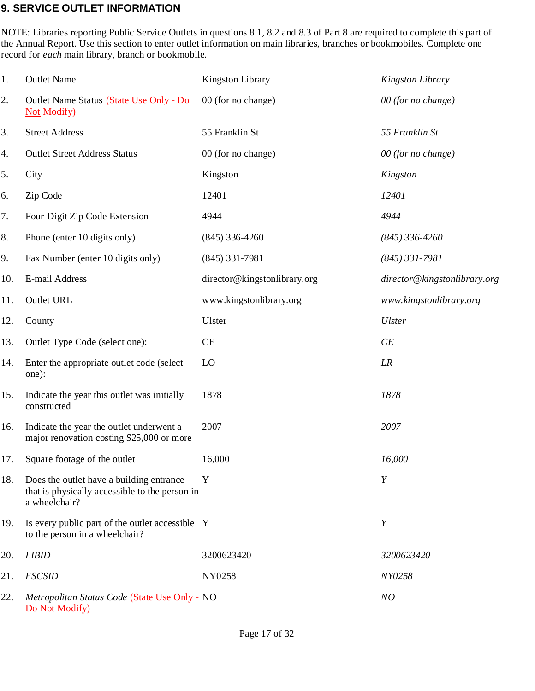#### 9. SERVICE OUTLET INFORMATION

NOTE: Libraries reporting Public Service Outlets in questions 8.1, 8.2 and 8.3 of Part 8 are required to complete this part of the Annual Report. Use this section to enter outlet information on main libraries, branches or bookmobiles. Complete one record for *each* main library, branch or bookmobile.

| 1.  | <b>Outlet Name</b>                                                                                          | <b>Kingston Library</b>      | Kingston Library             |
|-----|-------------------------------------------------------------------------------------------------------------|------------------------------|------------------------------|
| 2.  | Outlet Name Status (State Use Only - Do<br><b>Not Modify</b> )                                              | 00 (for no change)           | 00 (for no change)           |
| 3.  | <b>Street Address</b>                                                                                       | 55 Franklin St               | 55 Franklin St               |
| 4.  | <b>Outlet Street Address Status</b>                                                                         | 00 (for no change)           | 00 (for no change)           |
| 5.  | City                                                                                                        | Kingston                     | Kingston                     |
| 6.  | Zip Code                                                                                                    | 12401                        | 12401                        |
| 7.  | Four-Digit Zip Code Extension                                                                               | 4944                         | 4944                         |
| 8.  | Phone (enter 10 digits only)                                                                                | $(845)$ 336-4260             | $(845)$ 336-4260             |
| 9.  | Fax Number (enter 10 digits only)                                                                           | $(845)$ 331-7981             | $(845)$ 331-7981             |
| 10. | E-mail Address                                                                                              | director@kingstonlibrary.org | director@kingstonlibrary.org |
| 11. | Outlet URL                                                                                                  | www.kingstonlibrary.org      | www.kingstonlibrary.org      |
| 12. | County                                                                                                      | Ulster                       | <b>Ulster</b>                |
| 13. | Outlet Type Code (select one):                                                                              | CE                           | CE                           |
| 14. | Enter the appropriate outlet code (select)<br>one):                                                         | LO                           | LR                           |
| 15. | Indicate the year this outlet was initially<br>constructed                                                  | 1878                         | 1878                         |
| 16. | Indicate the year the outlet underwent a<br>major renovation costing \$25,000 or more                       | 2007                         | 2007                         |
|     | 17. Square footage of the outlet                                                                            | 16,000                       | 16,000                       |
| 18. | Does the outlet have a building entrance<br>that is physically accessible to the person in<br>a wheelchair? | Y                            | Y                            |
| 19. | Is every public part of the outlet accessible Y<br>to the person in a wheelchair?                           |                              | Y                            |
| 20. | <b>LIBID</b>                                                                                                | 3200623420                   | 3200623420                   |
| 21. | <b>FSCSID</b>                                                                                               | NY0258                       | NY0258                       |
| 22. | Metropolitan Status Code (State Use Only - NO<br>Do Not Modify)                                             |                              | NO                           |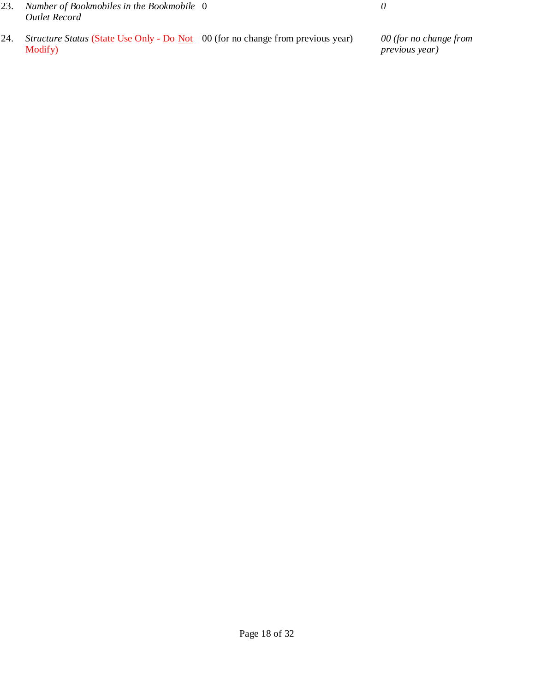- 23. Number of Bookmobiles in the Bookmobile  $0$  0 Outlet Record
- 24. Structure Status (State Use Only Do <u>Not</u> 00 (for no change from previous year) 00 (for no change from Modify)

previous year)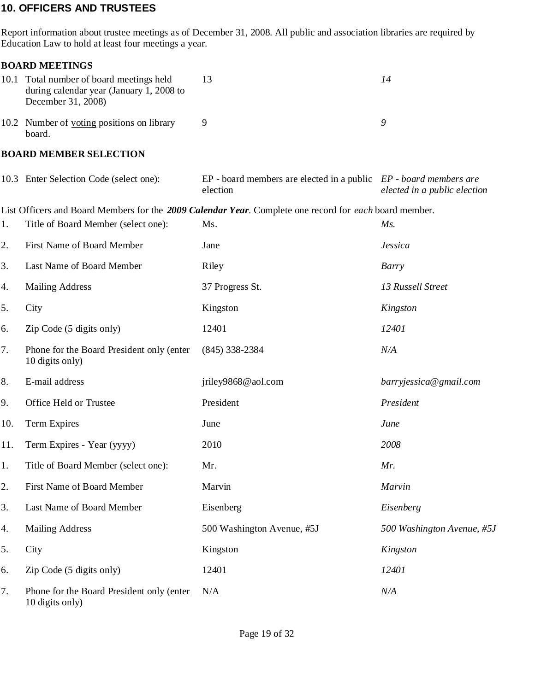#### 10. OFFICERS AND TRUSTEES

Report information about trustee meetings as of December 31, 2008. All public and association libraries are required by Education Law to hold at least four meetings a year.

#### BOARD MEETINGS

| 10.1 Total number of board meetings held<br>during calendar year (January 1, 2008 to<br>December 31, 2008) |  |
|------------------------------------------------------------------------------------------------------------|--|
| 10.2 Number of voting positions on library<br>board.                                                       |  |

#### BOARD MEMBER SELECTION

|     | 10.3 Enter Selection Code (select one):                      | $EP$ - board members are elected in a public $EP$ - board members are<br>election                      | elected in a public election |
|-----|--------------------------------------------------------------|--------------------------------------------------------------------------------------------------------|------------------------------|
|     |                                                              | List Officers and Board Members for the 2009 Calendar Year. Complete one record for each board member. |                              |
| 1.  | Title of Board Member (select one):                          | Ms.                                                                                                    | $Ms$ .                       |
| 2.  | First Name of Board Member                                   | Jane                                                                                                   | <b>Jessica</b>               |
| 3.  | Last Name of Board Member                                    | Riley                                                                                                  | Barry                        |
| 4.  | <b>Mailing Address</b>                                       | 37 Progress St.                                                                                        | 13 Russell Street            |
| 5.  | City                                                         | Kingston                                                                                               | Kingston                     |
| 6.  | Zip Code (5 digits only)                                     | 12401                                                                                                  | 12401                        |
| 7.  | Phone for the Board President only (enter<br>10 digits only) | $(845)$ 338-2384                                                                                       | N/A                          |
| 8.  | E-mail address                                               | jriley9868@aol.com                                                                                     | barryjessica@gmail.com       |
| 9.  | Office Held or Trustee                                       | President                                                                                              | President                    |
| 10. | <b>Term Expires</b>                                          | June                                                                                                   | June                         |
| 11. | Term Expires - Year (yyyy)                                   | 2010                                                                                                   | 2008                         |
| 1.  | Title of Board Member (select one):                          | Mr.                                                                                                    | Mr.                          |
| 2.  | First Name of Board Member                                   | Marvin                                                                                                 | Marvin                       |
| 3.  | Last Name of Board Member                                    | Eisenberg                                                                                              | Eisenberg                    |
| 4.  | <b>Mailing Address</b>                                       | 500 Washington Avenue, #5J                                                                             | 500 Washington Avenue, #5J   |
| 5.  | City                                                         | Kingston                                                                                               | Kingston                     |
| 6.  | Zip Code (5 digits only)                                     | 12401                                                                                                  | 12401                        |
| 7.  | Phone for the Board President only (enter<br>10 digits only) | N/A                                                                                                    | N/A                          |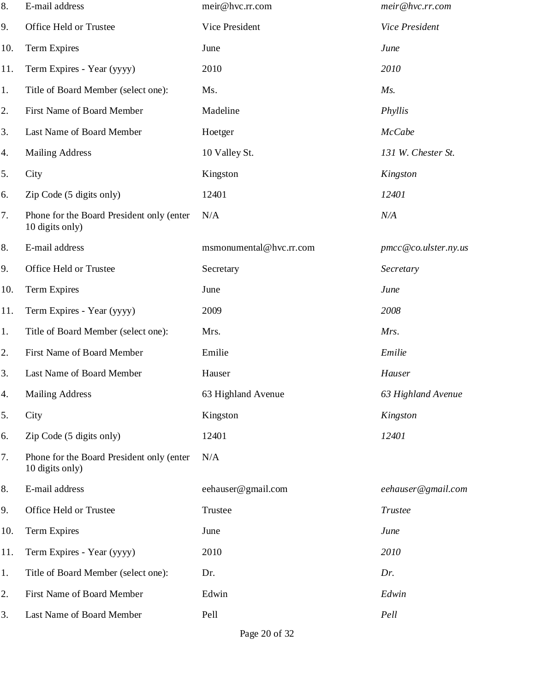| 8.  | E-mail address                                               | meir@hvc.rr.com         | meir@hvc.rr.com         |
|-----|--------------------------------------------------------------|-------------------------|-------------------------|
| 9.  | Office Held or Trustee                                       | Vice President          | <b>Vice President</b>   |
| 10. | Term Expires                                                 | June                    | June                    |
| 11. | Term Expires - Year (yyyy)                                   | 2010                    | 2010                    |
| 1.  | Title of Board Member (select one):                          | Ms.                     | $Ms$ .                  |
| 2.  | First Name of Board Member                                   | Madeline                | Phyllis                 |
| 3.  | Last Name of Board Member                                    | Hoetger                 | <b>McCabe</b>           |
| 4.  | <b>Mailing Address</b>                                       | 10 Valley St.           | 131 W. Chester St.      |
| 5.  | City                                                         | Kingston                | Kingston                |
| 6.  | Zip Code (5 digits only)                                     | 12401                   | 12401                   |
| 7.  | Phone for the Board President only (enter<br>10 digits only) | N/A                     | N/A                     |
| 8.  | E-mail address                                               | msmonumental@hvc.rr.com | pmcc@co. ulster. ny. us |
| 9.  | Office Held or Trustee                                       | Secretary               | Secretary               |
| 10. | <b>Term Expires</b>                                          | June                    | June                    |
| 11. | Term Expires - Year (yyyy)                                   | 2009                    | 2008                    |
| 1.  | Title of Board Member (select one):                          | Mrs.                    | Mrs.                    |
| 2.  | First Name of Board Member                                   | Emilie                  | Emilie                  |
| 3.  | Last Name of Board Member                                    | Hauser                  | Hauser                  |
| 4.  | <b>Mailing Address</b>                                       | 63 Highland Avenue      | 63 Highland Avenue      |
| 5.  | City                                                         | Kingston                | Kingston                |
| 6.  | Zip Code (5 digits only)                                     | 12401                   | 12401                   |
| 7.  | Phone for the Board President only (enter<br>10 digits only) | N/A                     |                         |
| 8.  | E-mail address                                               | eehauser@gmail.com      | eehauser@gmail.com      |
| 9.  | Office Held or Trustee                                       | Trustee                 | <b>Trustee</b>          |
| 10. | <b>Term Expires</b>                                          | June                    | June                    |
| 11. | Term Expires - Year (yyyy)                                   | 2010                    | 2010                    |
| 1.  | Title of Board Member (select one):                          | Dr.                     | Dr.                     |
| 2.  | First Name of Board Member                                   | Edwin                   | Edwin                   |
| 3.  | Last Name of Board Member                                    | Pell                    | Pell                    |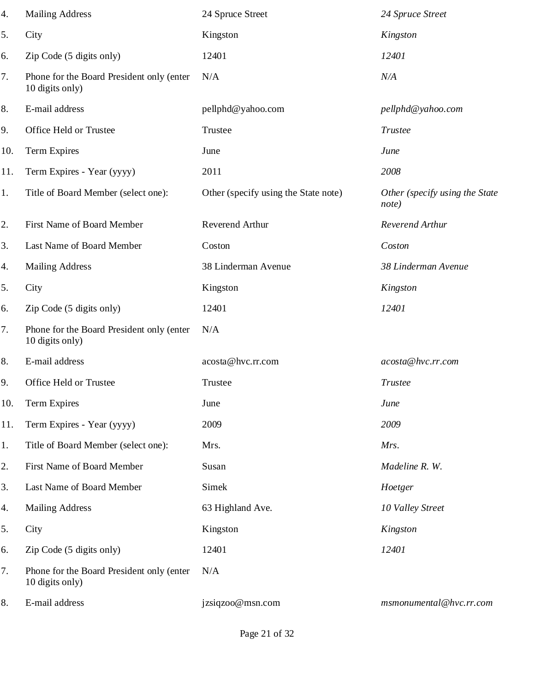| 4.  | <b>Mailing Address</b>                                       | 24 Spruce Street                     | 24 Spruce Street                        |
|-----|--------------------------------------------------------------|--------------------------------------|-----------------------------------------|
| 5.  | City                                                         | Kingston                             | Kingston                                |
| 6.  | Zip Code (5 digits only)                                     | 12401                                | 12401                                   |
| 7.  | Phone for the Board President only (enter<br>10 digits only) | N/A                                  | N/A                                     |
| 8.  | E-mail address                                               | pellphd@yahoo.com                    | pellphd@yahoo.com                       |
| 9.  | Office Held or Trustee                                       | Trustee                              | <b>Trustee</b>                          |
| 10. | Term Expires                                                 | June                                 | June                                    |
| 11. | Term Expires - Year (yyyy)                                   | 2011                                 | 2008                                    |
| 1.  | Title of Board Member (select one):                          | Other (specify using the State note) | Other (specify using the State<br>note) |
| 2.  | First Name of Board Member                                   | Reverend Arthur                      | Reverend Arthur                         |
| 3.  | Last Name of Board Member                                    | Coston                               | Coston                                  |
| 4.  | <b>Mailing Address</b>                                       | 38 Linderman Avenue                  | 38 Linderman Avenue                     |
| 5.  | City                                                         | Kingston                             | Kingston                                |
| 6.  | Zip Code (5 digits only)                                     | 12401                                | 12401                                   |
| 7.  | Phone for the Board President only (enter<br>10 digits only) | N/A                                  |                                         |
| 8.  | E-mail address                                               | acosta@hvc.rr.com                    | acosta@hvc.rr.com                       |
| 9.  | Office Held or Trustee                                       | Trustee                              | <b>Trustee</b>                          |
| 10. | <b>Term Expires</b>                                          | June                                 | June                                    |
| 11. | Term Expires - Year (yyyy)                                   | 2009                                 | 2009                                    |
| 1.  | Title of Board Member (select one):                          | Mrs.                                 | Mrs.                                    |
| 2.  | First Name of Board Member                                   | Susan                                | Madeline R. W.                          |
| 3.  | Last Name of Board Member                                    | Simek                                | Hoetger                                 |
| 4.  | <b>Mailing Address</b>                                       | 63 Highland Ave.                     | 10 Valley Street                        |
| 5.  | City                                                         | Kingston                             | Kingston                                |
| 6.  | Zip Code (5 digits only)                                     | 12401                                | 12401                                   |
| 7.  | Phone for the Board President only (enter<br>10 digits only) | N/A                                  |                                         |
| 8.  | E-mail address                                               | jzsiqzoo@msn.com                     | msmonumental@hvc.rr.com                 |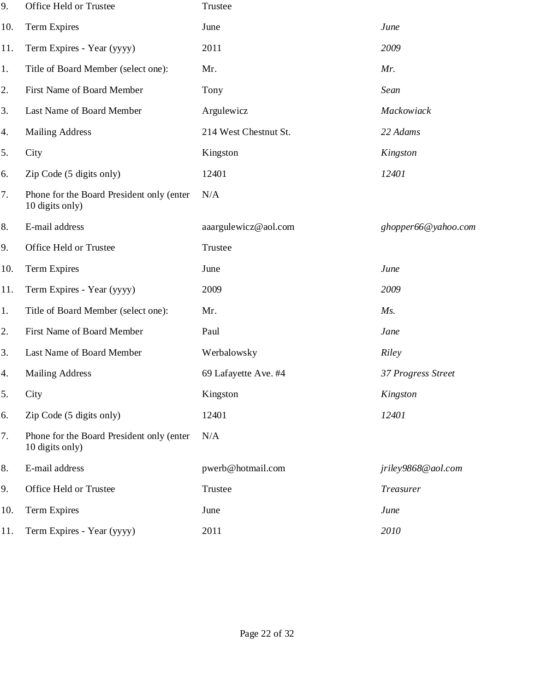| 9.  | Office Held or Trustee                                       | Trustee               |                     |
|-----|--------------------------------------------------------------|-----------------------|---------------------|
| 10. | <b>Term Expires</b>                                          | June                  | June                |
| 11. | Term Expires - Year (yyyy)                                   | 2011                  | 2009                |
| 1.  | Title of Board Member (select one):                          | Mr.                   | Mr.                 |
| 2.  | First Name of Board Member                                   | Tony                  | Sean                |
| 3.  | Last Name of Board Member                                    | Argulewicz            | Mackowiack          |
| 4.  | <b>Mailing Address</b>                                       | 214 West Chestnut St. | 22 Adams            |
| 5.  | City                                                         | Kingston              | Kingston            |
| 6.  | Zip Code (5 digits only)                                     | 12401                 | 12401               |
| 7.  | Phone for the Board President only (enter<br>10 digits only) | N/A                   |                     |
| 8.  | E-mail address                                               | aaargulewicz@aol.com  | ghopper66@yahoo.com |
| 9.  | Office Held or Trustee                                       | Trustee               |                     |
| 10. | Term Expires                                                 | June                  | June                |
| 11. | Term Expires - Year (yyyy)                                   | 2009                  | 2009                |
| 1.  | Title of Board Member (select one):                          | Mr.                   | $Ms$ .              |
| 2.  | <b>First Name of Board Member</b>                            | Paul                  | Jane                |
| 3.  | Last Name of Board Member                                    | Werbalowsky           | <b>Riley</b>        |
| 4.  | <b>Mailing Address</b>                                       | 69 Lafayette Ave. #4  | 37 Progress Street  |
| 5.  | City                                                         | Kingston              | Kingston            |
| 6.  | Zip Code (5 digits only)                                     | 12401                 | 12401               |
| 7.  | Phone for the Board President only (enter<br>10 digits only) | N/A                   |                     |
| 8.  | E-mail address                                               | pwerb@hotmail.com     | jriley9868@aol.com  |
| 9.  | Office Held or Trustee                                       | Trustee               | Treasurer           |
| 10. | <b>Term Expires</b>                                          | June                  | June                |
| 11. | Term Expires - Year (yyyy)                                   | 2011                  | 2010                |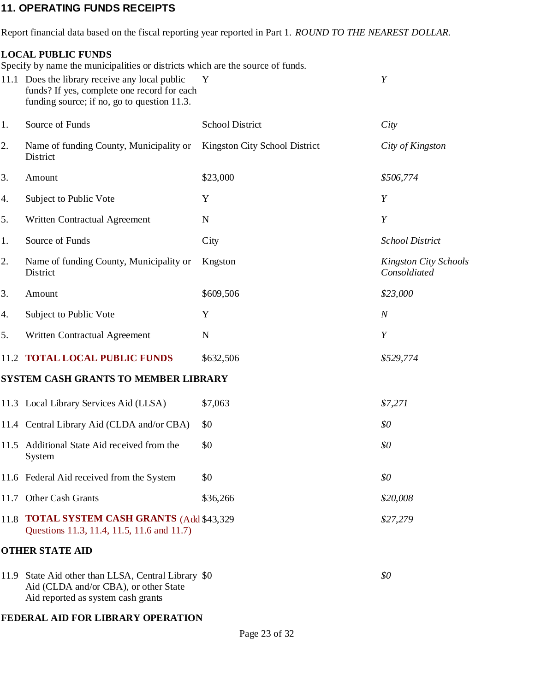#### 11. OPERATING FUNDS RECEIPTS

Report financial data based on the fiscal reporting year reported in Part 1. ROUND TO THE NEAREST DOLLAR.

# LOCAL PUBLIC FUNDS Specify by name the municipalities or districts which are the source of funds. 11.1 Does the library receive any local public Y Y funds? If yes, complete one record for each funding source; if no, go to question 11.3. 1. Source of Funds School District City 2. Name of funding County, Municipality or Kingston City School District City of Kingston District 3. Amount \$23,000 \$506,774 4. Subject to Public Vote  $Y$   $Y$ 5. Written Contractual Agreement N N Y 1. Source of Funds City City School District 2. Name of funding County, Municipality or Kngston County County County County Schools District Consoldiated 3. Amount  $$609,506$   $$23,000$ 4. Subject to Public Vote Y Y N 5. Written Contractual Agreement N N Y 11.2 **TOTAL LOCAL PUBLIC FUNDS** \$632,506 \$529,774 SYSTEM CASH GRANTS TO MEMBER LIBRARY 11.3 Local Library Services Aid (LLSA) \$7,063 \$7,271 11.4 Central Library Aid (CLDA and/or CBA) \$0 \$0 \$0 11.5 Additional State Aid received from the  $\qquad 50 \qquad \qquad $0$ System 11.6 Federal Aid received from the System  $\$0$  \$0  $\$0$ 11.7 Other Cash Grants \$36,266 \$20,008 11.8 **TOTAL SYSTEM CASH GRANTS** (Add \$43,329 \$27,279 \$27,279 Questions 11.3, 11.4, 11.5, 11.6 and 11.7) OTHER STATE AID 11.9 State Aid other than LLSA, Central Library \$0 \$0 Aid (CLDA and/or CBA), or other State Aid reported as system cash grants

#### FEDERAL AID FOR LIBRARY OPERATION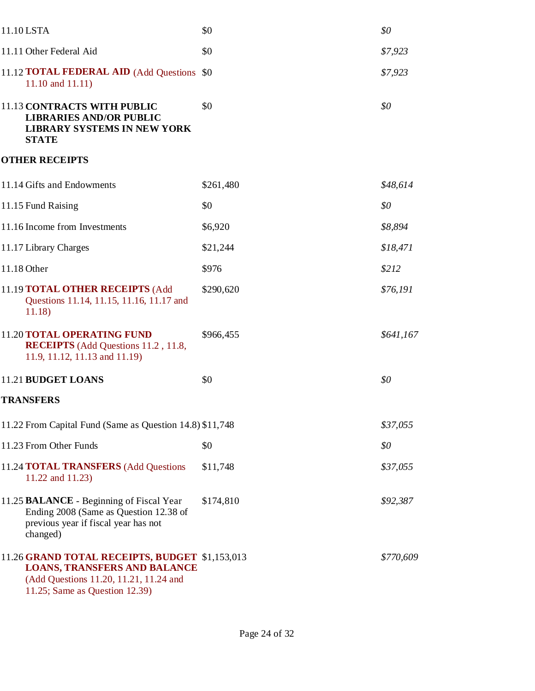| 11.10 LSTA                                                                                                                                                        | \$0       | \$0       |
|-------------------------------------------------------------------------------------------------------------------------------------------------------------------|-----------|-----------|
| 11.11 Other Federal Aid                                                                                                                                           | \$0       | \$7,923   |
| 11.12 <b>TOTAL FEDERAL AID</b> (Add Questions \$0)<br>11.10 and 11.11)                                                                                            |           | \$7,923   |
| <b>11.13 CONTRACTS WITH PUBLIC</b><br><b>LIBRARIES AND/OR PUBLIC</b><br><b>LIBRARY SYSTEMS IN NEW YORK</b><br><b>STATE</b>                                        | \$0       | \$0       |
| <b>OTHER RECEIPTS</b>                                                                                                                                             |           |           |
| 11.14 Gifts and Endowments                                                                                                                                        | \$261,480 | \$48,614  |
| 11.15 Fund Raising                                                                                                                                                | \$0       | \$0       |
| 11.16 Income from Investments                                                                                                                                     | \$6,920   | \$8,894   |
| 11.17 Library Charges                                                                                                                                             | \$21,244  | \$18,471  |
| 11.18 Other                                                                                                                                                       | \$976     | \$212     |
| 11.19 TOTAL OTHER RECEIPTS (Add<br>Questions 11.14, 11.15, 11.16, 11.17 and<br>11.18                                                                              | \$290,620 | \$76,191  |
| <b>11.20 TOTAL OPERATING FUND</b><br><b>RECEIPTS</b> (Add Questions 11.2, 11.8,<br>11.9, 11.12, 11.13 and 11.19)                                                  | \$966,455 | \$641,167 |
| 11.21 BUDGET LOANS                                                                                                                                                | \$0       | \$0       |
| <b>TRANSFERS</b>                                                                                                                                                  |           |           |
| 11.22 From Capital Fund (Same as Question 14.8) \$11,748                                                                                                          |           | \$37,055  |
| 11.23 From Other Funds                                                                                                                                            | \$0       | \$0       |
| 11.24 <b>TOTAL TRANSFERS</b> (Add Questions<br>11.22 and 11.23)                                                                                                   | \$11,748  | \$37,055  |
| 11.25 <b>BALANCE</b> - Beginning of Fiscal Year<br>Ending 2008 (Same as Question 12.38 of<br>previous year if fiscal year has not<br>changed)                     | \$174,810 | \$92,387  |
| 11.26 GRAND TOTAL RECEIPTS, BUDGET \$1,153,013<br><b>LOANS, TRANSFERS AND BALANCE</b><br>(Add Questions 11.20, 11.21, 11.24 and<br>11.25; Same as Question 12.39) |           | \$770,609 |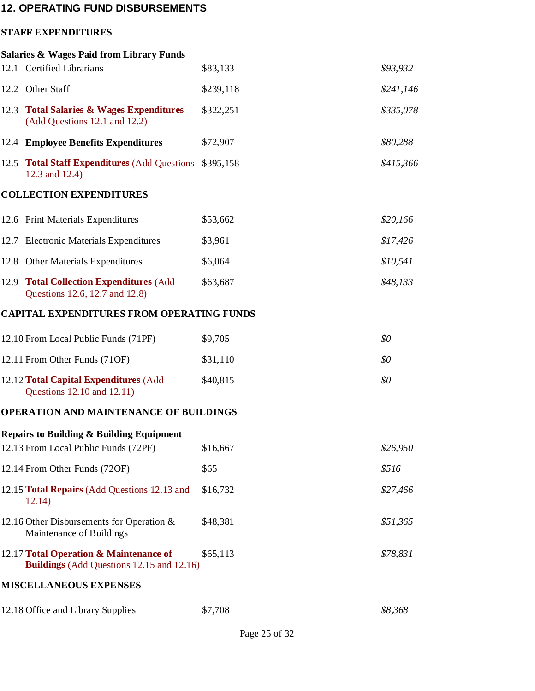### 12. OPERATING FUND DISBURSEMENTS

### STAFF EXPENDITURES

|      | <b>Salaries &amp; Wages Paid from Library Funds</b>                                 |           |           |
|------|-------------------------------------------------------------------------------------|-----------|-----------|
|      | 12.1 Certified Librarians                                                           | \$83,133  | \$93,932  |
|      | 12.2 Other Staff                                                                    | \$239,118 | \$241,146 |
| 12.3 | <b>Total Salaries &amp; Wages Expenditures</b><br>(Add Questions 12.1 and 12.2)     | \$322,251 | \$335,078 |
|      | 12.4 Employee Benefits Expenditures                                                 | \$72,907  | \$80,288  |
|      | 12.5 Total Staff Expenditures (Add Questions \$395,158)<br>12.3 and 12.4)           |           | \$415,366 |
|      | <b>COLLECTION EXPENDITURES</b>                                                      |           |           |
|      | 12.6 Print Materials Expenditures                                                   | \$53,662  | \$20,166  |
|      | 12.7 Electronic Materials Expenditures                                              | \$3,961   | \$17,426  |
|      | 12.8 Other Materials Expenditures                                                   | \$6,064   | \$10,541  |
| 12.9 | <b>Total Collection Expenditures (Add)</b><br>Questions 12.6, 12.7 and 12.8)        | \$63,687  | \$48,133  |
|      | <b>CAPITAL EXPENDITURES FROM OPERATING FUNDS</b>                                    |           |           |
|      | 12.10 From Local Public Funds (71PF)                                                | \$9,705   | \$0       |
|      | 12.11 From Other Funds (71OF)                                                       | \$31,110  | \$0       |
|      | 12.12 Total Capital Expenditures (Add<br>Questions 12.10 and 12.11)                 | \$40,815  | \$0       |
|      | <b>OPERATION AND MAINTENANCE OF BUILDINGS</b>                                       |           |           |
|      | <b>Repairs to Building &amp; Building Equipment</b>                                 |           |           |
|      | 12.13 From Local Public Funds (72PF)                                                | \$16,667  | \$26,950  |
|      | 12.14 From Other Funds (72OF)                                                       | \$65      | \$516     |
|      | 12.15 Total Repairs (Add Questions 12.13 and<br>12.14)                              | \$16,732  | \$27,466  |
|      | 12.16 Other Disbursements for Operation &<br>Maintenance of Buildings               | \$48,381  | \$51,365  |
|      | 12.17 Total Operation & Maintenance of<br>Buildings (Add Questions 12.15 and 12.16) | \$65,113  | \$78,831  |
|      | <b>MISCELLANEOUS EXPENSES</b>                                                       |           |           |
|      | 12.18 Office and Library Supplies                                                   | \$7,708   | \$8,368   |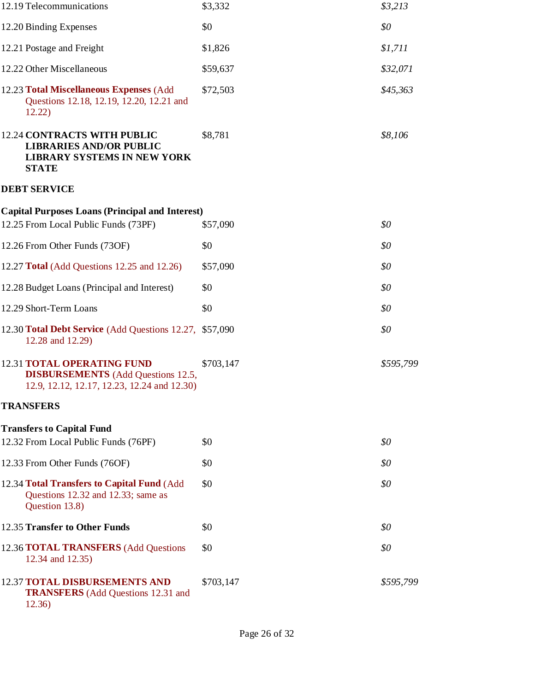| 12.19 Telecommunications                                                                                                      | \$3,332   | \$3,213   |
|-------------------------------------------------------------------------------------------------------------------------------|-----------|-----------|
| 12.20 Binding Expenses                                                                                                        | \$0       | \$0       |
| 12.21 Postage and Freight                                                                                                     | \$1,826   | \$1,711   |
| 12.22 Other Miscellaneous                                                                                                     | \$59,637  | \$32,071  |
| 12.23 Total Miscellaneous Expenses (Add<br>Questions 12.18, 12.19, 12.20, 12.21 and<br>12.22)                                 | \$72,503  | \$45,363  |
| <b>12.24 CONTRACTS WITH PUBLIC</b><br><b>LIBRARIES AND/OR PUBLIC</b><br><b>LIBRARY SYSTEMS IN NEW YORK</b><br><b>STATE</b>    | \$8,781   | \$8,106   |
| <b>DEBT SERVICE</b>                                                                                                           |           |           |
| <b>Capital Purposes Loans (Principal and Interest)</b>                                                                        |           |           |
| 12.25 From Local Public Funds (73PF)                                                                                          | \$57,090  | \$0       |
| 12.26 From Other Funds (73OF)                                                                                                 | \$0       | \$0       |
| 12.27 Total (Add Questions 12.25 and 12.26)                                                                                   | \$57,090  | \$0       |
| 12.28 Budget Loans (Principal and Interest)                                                                                   | \$0       | \$0       |
| 12.29 Short-Term Loans                                                                                                        | \$0       | \$0       |
| 12.30 Total Debt Service (Add Questions 12.27, \$57,090<br>12.28 and 12.29)                                                   |           | \$0       |
| <b>12.31 TOTAL OPERATING FUND</b><br><b>DISBURSEMENTS</b> (Add Questions 12.5,<br>12.9, 12.12, 12.17, 12.23, 12.24 and 12.30) | \$703,147 | \$595,799 |
| <b>TRANSFERS</b>                                                                                                              |           |           |
| <b>Transfers to Capital Fund</b>                                                                                              |           |           |
| 12.32 From Local Public Funds (76PF)                                                                                          | \$0       | \$0       |
| 12.33 From Other Funds (76OF)                                                                                                 | \$0       | \$0       |
| 12.34 Total Transfers to Capital Fund (Add<br>Questions 12.32 and 12.33; same as<br>Question 13.8)                            | \$0       | \$0       |
| 12.35 Transfer to Other Funds                                                                                                 | \$0       | \$0       |
| 12.36 <b>TOTAL TRANSFERS</b> (Add Questions<br>12.34 and 12.35)                                                               | \$0       | \$0       |
| <b>12.37 TOTAL DISBURSEMENTS AND</b><br><b>TRANSFERS</b> (Add Questions 12.31 and<br>12.36)                                   | \$703,147 | \$595,799 |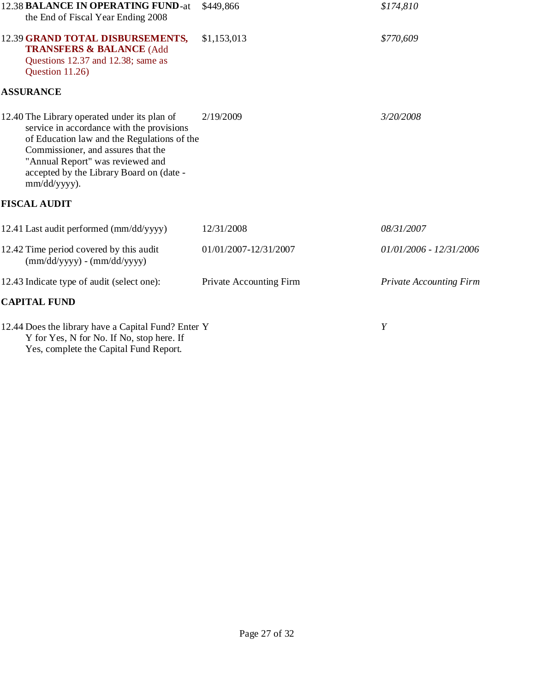| 12.38 BALANCE IN OPERATING FUND-at<br>the End of Fiscal Year Ending 2008                                                                                                                                                                                                       | \$449,866               | \$174,810                      |
|--------------------------------------------------------------------------------------------------------------------------------------------------------------------------------------------------------------------------------------------------------------------------------|-------------------------|--------------------------------|
| 12.39 GRAND TOTAL DISBURSEMENTS,<br><b>TRANSFERS &amp; BALANCE (Add</b><br>Questions 12.37 and 12.38; same as<br>Question 11.26)                                                                                                                                               | \$1,153,013             | \$770,609                      |
| <b>ASSURANCE</b>                                                                                                                                                                                                                                                               |                         |                                |
| 12.40 The Library operated under its plan of<br>service in accordance with the provisions<br>of Education law and the Regulations of the<br>Commissioner, and assures that the<br>"Annual Report" was reviewed and<br>accepted by the Library Board on (date -<br>mm/dd/yyyy). | 2/19/2009               | 3/20/2008                      |
| <b>FISCAL AUDIT</b>                                                                                                                                                                                                                                                            |                         |                                |
| 12.41 Last audit performed (mm/dd/yyyy)                                                                                                                                                                                                                                        | 12/31/2008              | 08/31/2007                     |
| 12.42 Time period covered by this audit<br>$(mm/dd/yyyy) - (mm/dd/yyyy)$                                                                                                                                                                                                       | 01/01/2007-12/31/2007   | 01/01/2006 - 12/31/2006        |
| 12.43 Indicate type of audit (select one):                                                                                                                                                                                                                                     | Private Accounting Firm | <b>Private Accounting Firm</b> |
| <b>CAPITAL FUND</b>                                                                                                                                                                                                                                                            |                         |                                |
| 12.44 Does the library have a Capital Fund? Enter Y<br>Y for Yes, N for No. If No, stop here. If                                                                                                                                                                               |                         | Y                              |

Yes, complete the Capital Fund Report.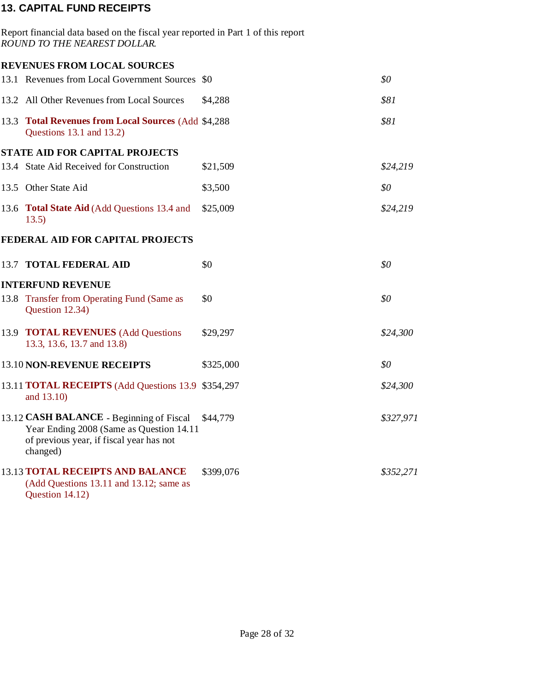# 13. CAPITAL FUND RECEIPTS

| Report financial data based on the fiscal year reported in Part 1 of this report<br>ROUND TO THE NEAREST DOLLAR.                                      |           |           |
|-------------------------------------------------------------------------------------------------------------------------------------------------------|-----------|-----------|
| <b>REVENUES FROM LOCAL SOURCES</b>                                                                                                                    |           |           |
| 13.1 Revenues from Local Government Sources \$0                                                                                                       |           | \$0       |
| 13.2 All Other Revenues from Local Sources                                                                                                            | \$4,288   | \$81      |
| 13.3 Total Revenues from Local Sources (Add \$4,288)<br>Questions 13.1 and 13.2)                                                                      |           | \$81      |
| <b>STATE AID FOR CAPITAL PROJECTS</b>                                                                                                                 |           |           |
| 13.4 State Aid Received for Construction                                                                                                              | \$21,509  | \$24,219  |
| 13.5 Other State Aid                                                                                                                                  | \$3,500   | \$0       |
| 13.6 Total State Aid (Add Questions 13.4 and<br>13.5)                                                                                                 | \$25,009  | \$24,219  |
| FEDERAL AID FOR CAPITAL PROJECTS                                                                                                                      |           |           |
| 13.7 TOTAL FEDERAL AID                                                                                                                                | \$0       | \$0       |
| <b>INTERFUND REVENUE</b>                                                                                                                              |           |           |
| 13.8 Transfer from Operating Fund (Same as<br>Question 12.34)                                                                                         | \$0       | \$0       |
| 13.9 <b>TOTAL REVENUES</b> (Add Questions<br>13.3, 13.6, 13.7 and 13.8)                                                                               | \$29,297  | \$24,300  |
| 13.10 NON-REVENUE RECEIPTS                                                                                                                            | \$325,000 | \$0       |
| 13.11 <b>TOTAL RECEIPTS</b> (Add Questions 13.9 \$354,297)<br>and 13.10)                                                                              |           | \$24,300  |
| 13.12 CASH BALANCE - Beginning of Fiscal \$44,779<br>Year Ending 2008 (Same as Question 14.11<br>of previous year, if fiscal year has not<br>changed) |           | \$327,971 |
| <b>13.13 TOTAL RECEIPTS AND BALANCE</b><br>(Add Questions 13.11 and 13.12; same as<br>Question 14.12)                                                 | \$399,076 | \$352,271 |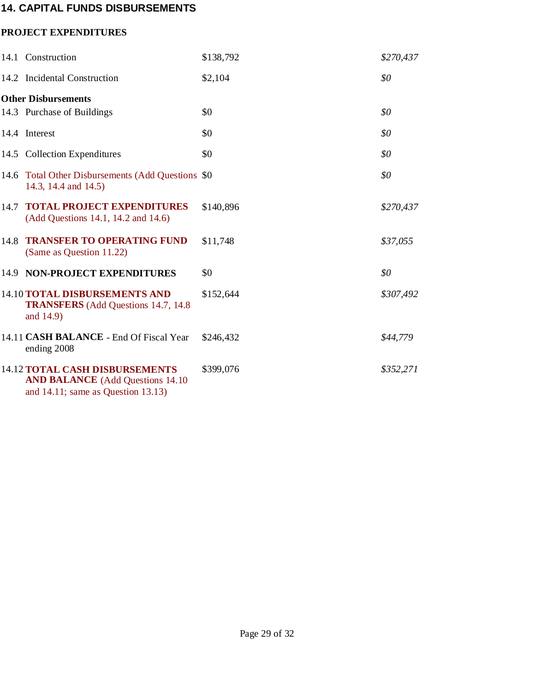## 14. CAPITAL FUNDS DISBURSEMENTS

#### PROJECT EXPENDITURES

|      | 14.1 Construction                                                                                                             | \$138,792 | \$270,437 |
|------|-------------------------------------------------------------------------------------------------------------------------------|-----------|-----------|
|      | 14.2 Incidental Construction                                                                                                  | \$2,104   | \$0       |
|      | <b>Other Disbursements</b>                                                                                                    |           |           |
|      | 14.3 Purchase of Buildings                                                                                                    | \$0       | \$0       |
|      | 14.4 Interest                                                                                                                 | \$0       | \$0       |
|      | 14.5 Collection Expenditures                                                                                                  | \$0       | \$0       |
|      | 14.6 Total Other Disbursements (Add Questions \$0<br>14.3, 14.4 and 14.5)                                                     |           | \$0       |
| 14.7 | <b>TOTAL PROJECT EXPENDITURES</b><br>(Add Questions 14.1, 14.2 and 14.6)                                                      | \$140,896 | \$270,437 |
| 14.8 | <b>TRANSFER TO OPERATING FUND</b><br>(Same as Question 11.22)                                                                 | \$11,748  | \$37,055  |
|      | 14.9 NON-PROJECT EXPENDITURES                                                                                                 | \$0       | \$0       |
|      | <b>14.10 TOTAL DISBURSEMENTS AND</b><br><b>TRANSFERS</b> (Add Questions 14.7, 14.8)<br>and 14.9)                              | \$152,644 | \$307,492 |
|      | 14.11 CASH BALANCE - End Of Fiscal Year<br>ending 2008                                                                        | \$246,432 | \$44,779  |
|      | <b>14.12 TOTAL CASH DISBURSEMENTS</b><br><b>AND BALANCE</b> (Add Questions 14.10)<br>and $14.11$ ; same as Question $13.13$ ) | \$399,076 | \$352,271 |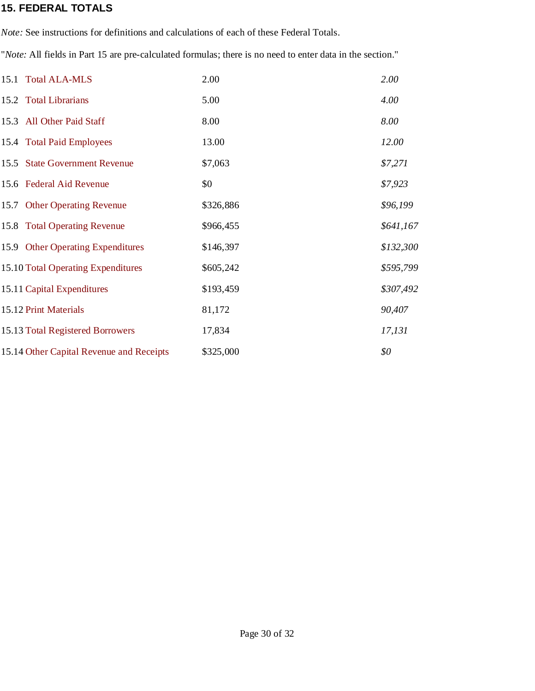#### 15. FEDERAL TOTALS

Note: See instructions for definitions and calculations of each of these Federal Totals.

"Note: All fields in Part 15 are pre-calculated formulas; there is no need to enter data in the section."

| 15.1 Total ALA-MLS                       | 2.00      | 2.00      |
|------------------------------------------|-----------|-----------|
| 15.2 Total Librarians                    | 5.00      | 4.00      |
| 15.3 All Other Paid Staff                | 8.00      | 8.00      |
| 15.4 Total Paid Employees                | 13.00     | 12.00     |
| 15.5 State Government Revenue            | \$7,063   | \$7,271   |
| 15.6 Federal Aid Revenue                 | \$0       | \$7,923   |
| 15.7 Other Operating Revenue             | \$326,886 | \$96,199  |
| 15.8 Total Operating Revenue             | \$966,455 | \$641,167 |
| 15.9 Other Operating Expenditures        | \$146,397 | \$132,300 |
| 15.10 Total Operating Expenditures       | \$605,242 | \$595,799 |
| 15.11 Capital Expenditures               | \$193,459 | \$307,492 |
| 15.12 Print Materials                    | 81,172    | 90,407    |
| 15.13 Total Registered Borrowers         | 17,834    | 17,131    |
| 15.14 Other Capital Revenue and Receipts | \$325,000 | \$0       |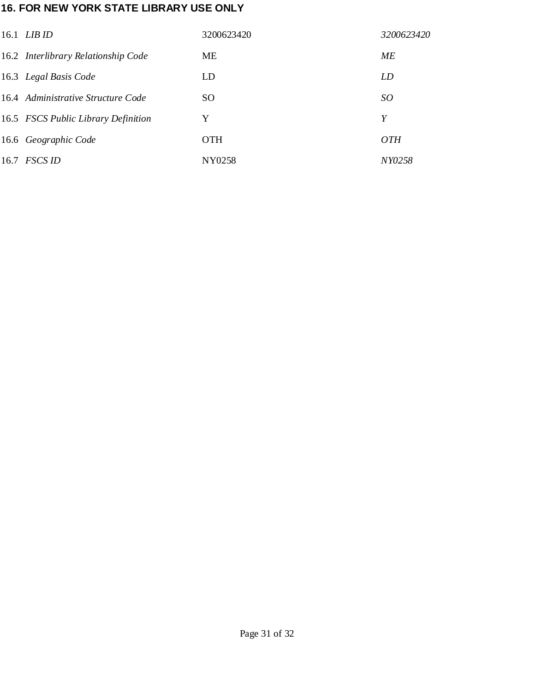# 16. FOR NEW YORK STATE LIBRARY USE ONLY

| 16.1 <i>LIB ID</i>                  | 3200623420 | 3200623420    |
|-------------------------------------|------------|---------------|
| 16.2 Interlibrary Relationship Code | <b>ME</b>  | МE            |
| 16.3 Legal Basis Code               | LD         | LD            |
| 16.4 Administrative Structure Code  | SO.        | SO            |
| 16.5 FSCS Public Library Definition | Y          | Y             |
| 16.6 Geographic Code                | <b>OTH</b> | <i>OTH</i>    |
| $16.7$ FSCS ID                      | NY0258     | <i>NY0258</i> |